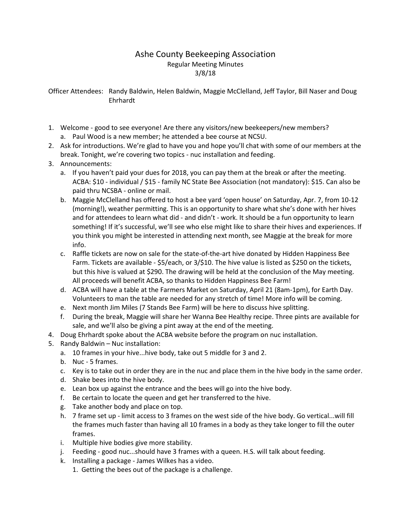## Ashe County Beekeeping Association Regular Meeting Minutes 3/8/18

Officer Attendees: Randy Baldwin, Helen Baldwin, Maggie McClelland, Jeff Taylor, Bill Naser and Doug Ehrhardt

- 1. Welcome good to see everyone! Are there any visitors/new beekeepers/new members? a. Paul Wood is a new member; he attended a bee course at NCSU.
- 2. Ask for introductions. We're glad to have you and hope you'll chat with some of our members at the break. Tonight, we're covering two topics - nuc installation and feeding.
- 3. Announcements:
	- a. If you haven't paid your dues for 2018, you can pay them at the break or after the meeting. ACBA: \$10 - individual / \$15 - family NC State Bee Association (not mandatory): \$15. Can also be paid thru NCSBA - online or mail.
	- b. Maggie McClelland has offered to host a bee yard 'open house' on Saturday, Apr. 7, from 10-12 (morning!), weather permitting. This is an opportunity to share what she's done with her hives and for attendees to learn what did - and didn't - work. It should be a fun opportunity to learn something! If it's successful, we'll see who else might like to share their hives and experiences. If you think you might be interested in attending next month, see Maggie at the break for more info.
	- c. Raffle tickets are now on sale for the state-of-the-art hive donated by Hidden Happiness Bee Farm. Tickets are available - \$5/each, or 3/\$10. The hive value is listed as \$250 on the tickets, but this hive is valued at \$290. The drawing will be held at the conclusion of the May meeting. All proceeds will benefit ACBA, so thanks to Hidden Happiness Bee Farm!
	- d. ACBA will have a table at the Farmers Market on Saturday, April 21 (8am-1pm), for Earth Day. Volunteers to man the table are needed for any stretch of time! More info will be coming.
	- e. Next month Jim Miles (7 Stands Bee Farm) will be here to discuss hive splitting.
	- f. During the break, Maggie will share her Wanna Bee Healthy recipe. Three pints are available for sale, and we'll also be giving a pint away at the end of the meeting.
- 4. Doug Ehrhardt spoke about the ACBA website before the program on nuc installation.
- 5. Randy Baldwin Nuc installation:
	- a. 10 frames in your hive...hive body, take out 5 middle for 3 and 2.
	- b. Nuc 5 frames.
	- c. Key is to take out in order they are in the nuc and place them in the hive body in the same order.
	- d. Shake bees into the hive body.
	- e. Lean box up against the entrance and the bees will go into the hive body.
	- f. Be certain to locate the queen and get her transferred to the hive.
	- g. Take another body and place on top.
	- h. 7 frame set up limit access to 3 frames on the west side of the hive body. Go vertical...will fill the frames much faster than having all 10 frames in a body as they take longer to fill the outer frames.
	- i. Multiple hive bodies give more stability.
	- j. Feeding good nuc...should have 3 frames with a queen. H.S. will talk about feeding.
	- k. Installing a package James Wilkes has a video.
		- 1. Getting the bees out of the package is a challenge.